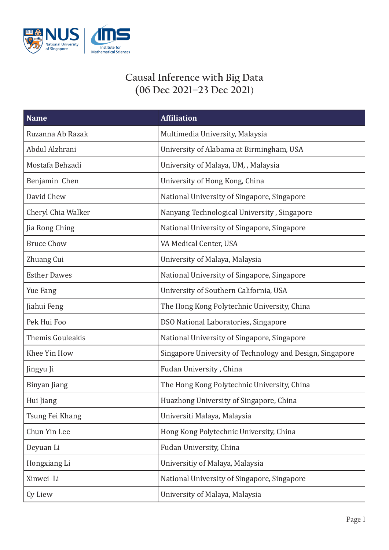

## **Causal Inference with Big Data (06 Dec 2021–23 Dec 2021**)

| <b>Name</b>             | <b>Affiliation</b>                                       |
|-------------------------|----------------------------------------------------------|
| Ruzanna Ab Razak        | Multimedia University, Malaysia                          |
| Abdul Alzhrani          | University of Alabama at Birmingham, USA                 |
| Mostafa Behzadi         | University of Malaya, UM, , Malaysia                     |
| Benjamin Chen           | University of Hong Kong, China                           |
| David Chew              | National University of Singapore, Singapore              |
| Cheryl Chia Walker      | Nanyang Technological University, Singapore              |
| Jia Rong Ching          | National University of Singapore, Singapore              |
| <b>Bruce Chow</b>       | VA Medical Center, USA                                   |
| Zhuang Cui              | University of Malaya, Malaysia                           |
| <b>Esther Dawes</b>     | National University of Singapore, Singapore              |
| Yue Fang                | University of Southern California, USA                   |
| Jiahui Feng             | The Hong Kong Polytechnic University, China              |
| Pek Hui Foo             | DSO National Laboratories, Singapore                     |
| <b>Themis Gouleakis</b> | National University of Singapore, Singapore              |
| Khee Yin How            | Singapore University of Technology and Design, Singapore |
| Jingyu Ji               | Fudan University, China                                  |
| Binyan Jiang            | The Hong Kong Polytechnic University, China              |
| Hui Jiang               | Huazhong University of Singapore, China                  |
| Tsung Fei Khang         | Universiti Malaya, Malaysia                              |
| Chun Yin Lee            | Hong Kong Polytechnic University, China                  |
| Deyuan Li               | Fudan University, China                                  |
| Hongxiang Li            | Universitiy of Malaya, Malaysia                          |
| Xinwei Li               | National University of Singapore, Singapore              |
| Cy Liew                 | University of Malaya, Malaysia                           |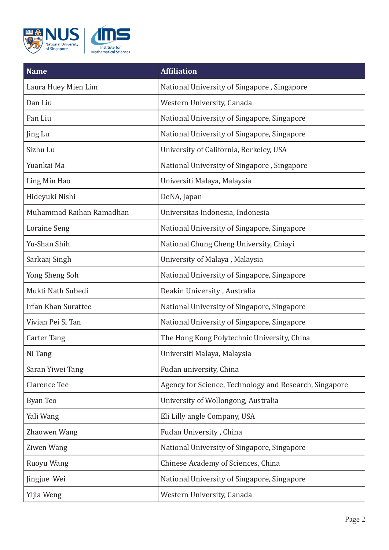

| <b>Name</b>                | <b>Affiliation</b>                                     |
|----------------------------|--------------------------------------------------------|
| Laura Huey Mien Lim        | National University of Singapore, Singapore            |
| Dan Liu                    | Western University, Canada                             |
| Pan Liu                    | National University of Singapore, Singapore            |
| Jing Lu                    | National University of Singapore, Singapore            |
| Sizhu Lu                   | University of California, Berkeley, USA                |
| Yuankai Ma                 | National University of Singapore, Singapore            |
| Ling Min Hao               | Universiti Malaya, Malaysia                            |
| Hideyuki Nishi             | DeNA, Japan                                            |
| Muhammad Raihan Ramadhan   | Universitas Indonesia, Indonesia                       |
| <b>Loraine Seng</b>        | National University of Singapore, Singapore            |
| Yu-Shan Shih               | National Chung Cheng University, Chiayi                |
| Sarkaaj Singh              | University of Malaya, Malaysia                         |
| Yong Sheng Soh             | National University of Singapore, Singapore            |
| Mukti Nath Subedi          | Deakin University, Australia                           |
| <b>Irfan Khan Surattee</b> | National University of Singapore, Singapore            |
| Vivian Pei Si Tan          | National University of Singapore, Singapore            |
| Carter Tang                | The Hong Kong Polytechnic University, China            |
| Ni Tang                    | Universiti Malaya, Malaysia                            |
| Saran Yiwei Tang           | Fudan university, China                                |
| <b>Clarence Tee</b>        | Agency for Science, Technology and Research, Singapore |
| <b>Byan Teo</b>            | University of Wollongong, Australia                    |
| Yali Wang                  | Eli Lilly angle Company, USA                           |
| Zhaowen Wang               | Fudan University, China                                |
| Ziwen Wang                 | National University of Singapore, Singapore            |
| Ruoyu Wang                 | Chinese Academy of Sciences, China                     |
| Jingjue Wei                | National University of Singapore, Singapore            |
| Yijia Weng                 | Western University, Canada                             |